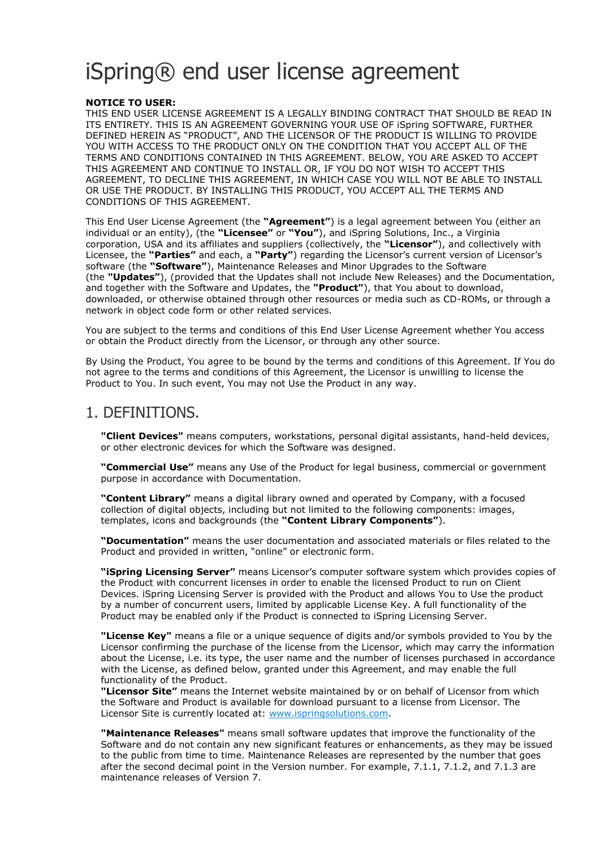# iSpring® end user license agreement

#### **NOTICE TO USER:**

THIS END USER LICENSE AGREEMENT IS A LEGALLY BINDING CONTRACT THAT SHOULD BE READ IN ITS ENTIRETY. THIS IS AN AGREEMENT GOVERNING YOUR USE OF iSpring SOFTWARE, FURTHER DEFINED HEREIN AS "PRODUCT", AND THE LICENSOR OF THE PRODUCT IS WILLING TO PROVIDE YOU WITH ACCESS TO THE PRODUCT ONLY ON THE CONDITION THAT YOU ACCEPT ALL OF THE TERMS AND CONDITIONS CONTAINED IN THIS AGREEMENT. BELOW, YOU ARE ASKED TO ACCEPT THIS AGREEMENT AND CONTINUE TO INSTALL OR, IF YOU DO NOT WISH TO ACCEPT THIS AGREEMENT, TO DECLINE THIS AGREEMENT, IN WHICH CASE YOU WILL NOT BE ABLE TO INSTALL OR USE THE PRODUCT. BY INSTALLING THIS PRODUCT, YOU ACCEPT ALL THE TERMS AND CONDITIONS OF THIS AGREEMENT.

This End User License Agreement (the **"Agreement"**) is a legal agreement between You (either an individual or an entity), (the **"Licensee"** or **"You"**), and iSpring Solutions, Inc., a Virginia corporation, USA and its affiliates and suppliers (collectively, the **"Licensor"**), and collectively with Licensee, the **"Parties"** and each, a **"Party"**) regarding the Licensor's current version of Licensor's software (the **"Software"**), Maintenance Releases and Minor Upgrades to the Software (the **"Updates"**), (provided that the Updates shall not include New Releases) and the Documentation, and together with the Software and Updates, the **"Product"**), that You about to download, downloaded, or otherwise obtained through other resources or media such as CD-ROMs, or through a network in object code form or other related services.

You are subject to the terms and conditions of this End User License Agreement whether You access or obtain the Product directly from the Licensor, or through any other source.

By Using the Product, You agree to be bound by the terms and conditions of this Agreement. If You do not agree to the terms and conditions of this Agreement, the Licensor is unwilling to license the Product to You. In such event, You may not Use the Product in any way.

### 1. DEFINITIONS.

**"Client Devices"** means computers, workstations, personal digital assistants, hand-held devices, or other electronic devices for which the Software was designed.

**"Commercial Use"** means any Use of the Product for legal business, commercial or government purpose in accordance with Documentation.

**"Content Library"** means a digital library owned and operated by Company, with a focused collection of digital objects, including but not limited to the following components: images, templates, icons and backgrounds (the **"Content Library Components"**).

**"Documentation"** means the user documentation and associated materials or files related to the Product and provided in written, "online" or electronic form.

**"iSpring Licensing Server"** means Licensor's computer software system which provides copies of the Product with concurrent licenses in order to enable the licensed Product to run on Client Devices. iSpring Licensing Server is provided with the Product and allows You to Use the product by a number of concurrent users, limited by applicable License Key. A full functionality of the Product may be enabled only if the Product is connected to iSpring Licensing Server.

**"License Key"** means a file or a unique sequence of digits and/or symbols provided to You by the Licensor confirming the purchase of the license from the Licensor, which may carry the information about the License, i.e. its type, the user name and the number of licenses purchased in accordance with the License, as defined below, granted under this Agreement, and may enable the full functionality of the Product.

**"Licensor Site"** means the Internet website maintained by or on behalf of Licensor from which the Software and Product is available for download pursuant to a license from Licensor. The Licensor Site is currently located at: [www.ispringsolutions.com.](https://www.ispringsolutions.com/)

**"Maintenance Releases"** means small software updates that improve the functionality of the Software and do not contain any new significant features or enhancements, as they may be issued to the public from time to time. Maintenance Releases are represented by the number that goes after the second decimal point in the Version number. For example, 7.1.1, 7.1.2, and 7.1.3 are maintenance releases of Version 7.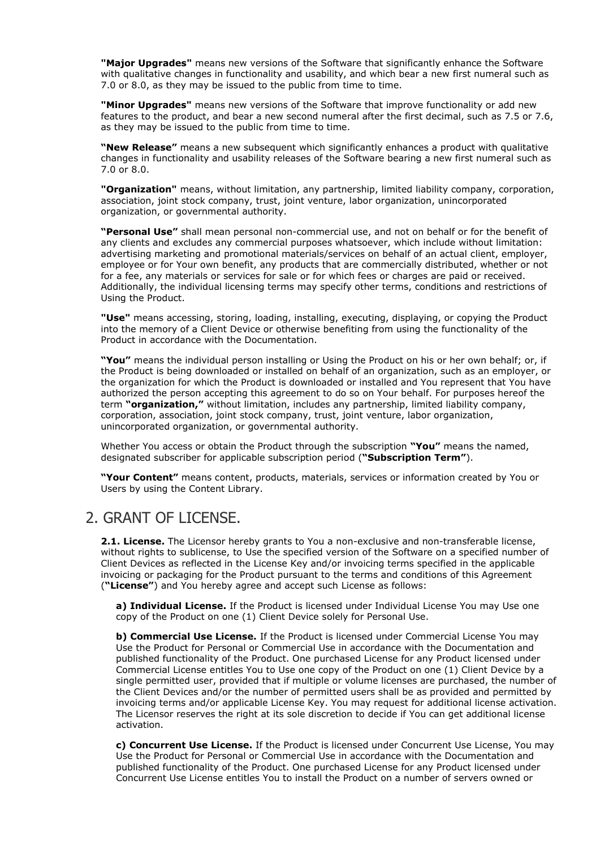**"Major Upgrades"** means new versions of the Software that significantly enhance the Software with qualitative changes in functionality and usability, and which bear a new first numeral such as 7.0 or 8.0, as they may be issued to the public from time to time.

**"Minor Upgrades"** means new versions of the Software that improve functionality or add new features to the product, and bear a new second numeral after the first decimal, such as 7.5 or 7.6, as they may be issued to the public from time to time.

**"New Release"** means a new subsequent which significantly enhances a product with qualitative changes in functionality and usability releases of the Software bearing a new first numeral such as 7.0 or 8.0.

**"Organization"** means, without limitation, any partnership, limited liability company, corporation, association, joint stock company, trust, joint venture, labor organization, unincorporated organization, or governmental authority.

**"Personal Use"** shall mean personal non-commercial use, and not on behalf or for the benefit of any clients and excludes any commercial purposes whatsoever, which include without limitation: advertising marketing and promotional materials/services on behalf of an actual client, employer, employee or for Your own benefit, any products that are commercially distributed, whether or not for a fee, any materials or services for sale or for which fees or charges are paid or received. Additionally, the individual licensing terms may specify other terms, conditions and restrictions of Using the Product.

**"Use"** means accessing, storing, loading, installing, executing, displaying, or copying the Product into the memory of a Client Device or otherwise benefiting from using the functionality of the Product in accordance with the Documentation.

**"You"** means the individual person installing or Using the Product on his or her own behalf; or, if the Product is being downloaded or installed on behalf of an organization, such as an employer, or the organization for which the Product is downloaded or installed and You represent that You have authorized the person accepting this agreement to do so on Your behalf. For purposes hereof the term **"organization,"** without limitation, includes any partnership, limited liability company, corporation, association, joint stock company, trust, joint venture, labor organization, unincorporated organization, or governmental authority.

Whether You access or obtain the Product through the subscription **"You"** means the named, designated subscriber for applicable subscription period (**"Subscription Term"**).

**"Your Content"** means content, products, materials, services or information created by You or Users by using the Content Library.

### 2. GRANT OF LICENSE.

**2.1. License.** The Licensor hereby grants to You a non-exclusive and non-transferable license, without rights to sublicense, to Use the specified version of the Software on a specified number of Client Devices as reflected in the License Key and/or invoicing terms specified in the applicable invoicing or packaging for the Product pursuant to the terms and conditions of this Agreement (**"License"**) and You hereby agree and accept such License as follows:

**a) Individual License.** If the Product is licensed under Individual License You may Use one copy of the Product on one (1) Client Device solely for Personal Use.

**b) Commercial Use License.** If the Product is licensed under Commercial License You may Use the Product for Personal or Commercial Use in accordance with the Documentation and published functionality of the Product. One purchased License for any Product licensed under Commercial License entitles You to Use one copy of the Product on one (1) Client Device by a single permitted user, provided that if multiple or volume licenses are purchased, the number of the Client Devices and/or the number of permitted users shall be as provided and permitted by invoicing terms and/or applicable License Key. You may request for additional license activation. The Licensor reserves the right at its sole discretion to decide if You can get additional license activation.

**c) Concurrent Use License.** If the Product is licensed under Concurrent Use License, You may Use the Product for Personal or Commercial Use in accordance with the Documentation and published functionality of the Product. One purchased License for any Product licensed under Concurrent Use License entitles You to install the Product on a number of servers owned or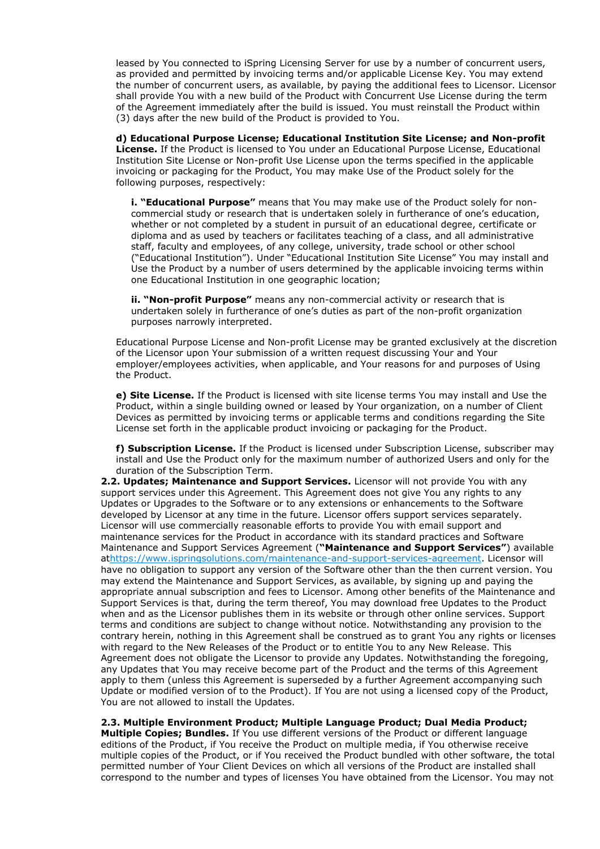leased by You connected to iSpring Licensing Server for use by a number of concurrent users, as provided and permitted by invoicing terms and/or applicable License Key. You may extend the number of concurrent users, as available, by paying the additional fees to Licensor. Licensor shall provide You with a new build of the Product with Concurrent Use License during the term of the Agreement immediately after the build is issued. You must reinstall the Product within (3) days after the new build of the Product is provided to You.

**d) Educational Purpose License; Educational Institution Site License; and Non-profit License.** If the Product is licensed to You under an Educational Purpose License, Educational Institution Site License or Non-profit Use License upon the terms specified in the applicable invoicing or packaging for the Product, You may make Use of the Product solely for the following purposes, respectively:

**i. "Educational Purpose"** means that You may make use of the Product solely for noncommercial study or research that is undertaken solely in furtherance of one's education, whether or not completed by a student in pursuit of an educational degree, certificate or diploma and as used by teachers or facilitates teaching of a class, and all administrative staff, faculty and employees, of any college, university, trade school or other school ("Educational Institution"). Under "Educational Institution Site License" You may install and Use the Product by a number of users determined by the applicable invoicing terms within one Educational Institution in one geographic location;

**ii. "Non-profit Purpose"** means any non-commercial activity or research that is undertaken solely in furtherance of one's duties as part of the non-profit organization purposes narrowly interpreted.

Educational Purpose License and Non-profit License may be granted exclusively at the discretion of the Licensor upon Your submission of a written request discussing Your and Your employer/employees activities, when applicable, and Your reasons for and purposes of Using the Product.

**e) Site License.** If the Product is licensed with site license terms You may install and Use the Product, within a single building owned or leased by Your organization, on a number of Client Devices as permitted by invoicing terms or applicable terms and conditions regarding the Site License set forth in the applicable product invoicing or packaging for the Product.

**f) Subscription License.** If the Product is licensed under Subscription License, subscriber may install and Use the Product only for the maximum number of authorized Users and only for the duration of the Subscription Term.

**2.2. Updates; Maintenance and Support Services.** Licensor will not provide You with any support services under this Agreement. This Agreement does not give You any rights to any Updates or Upgrades to the Software or to any extensions or enhancements to the Software developed by Licensor at any time in the future. Licensor offers support services separately. Licensor will use commercially reasonable efforts to provide You with email support and maintenance services for the Product in accordance with its standard practices and Software Maintenance and Support Services Agreement (**"Maintenance and Support Services"**) available a[thttps://www.ispringsolutions.com/maintenance-and-support-services-agreement.](https://www.ispringsolutions.com/maintenance-and-support-services-agreement) Licensor will have no obligation to support any version of the Software other than the then current version. You may extend the Maintenance and Support Services, as available, by signing up and paying the appropriate annual subscription and fees to Licensor. Among other benefits of the Maintenance and Support Services is that, during the term thereof, You may download free Updates to the Product when and as the Licensor publishes them in its website or through other online services. Support terms and conditions are subject to change without notice. Notwithstanding any provision to the contrary herein, nothing in this Agreement shall be construed as to grant You any rights or licenses with regard to the New Releases of the Product or to entitle You to any New Release. This Agreement does not obligate the Licensor to provide any Updates. Notwithstanding the foregoing, any Updates that You may receive become part of the Product and the terms of this Agreement apply to them (unless this Agreement is superseded by a further Agreement accompanying such Update or modified version of to the Product). If You are not using a licensed copy of the Product, You are not allowed to install the Updates.

**2.3. Multiple Environment Product; Multiple Language Product; Dual Media Product;** 

**Multiple Copies; Bundles.** If You use different versions of the Product or different language editions of the Product, if You receive the Product on multiple media, if You otherwise receive multiple copies of the Product, or if You received the Product bundled with other software, the total permitted number of Your Client Devices on which all versions of the Product are installed shall correspond to the number and types of licenses You have obtained from the Licensor. You may not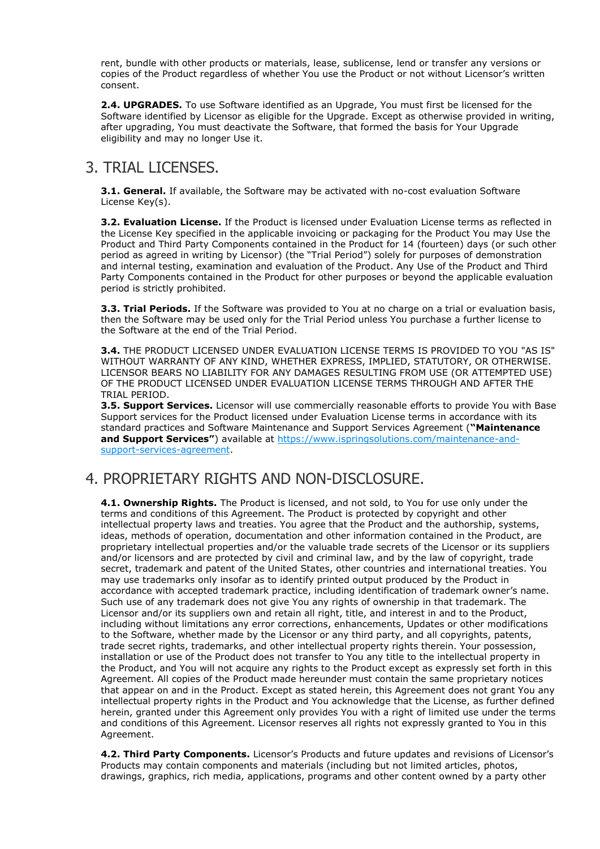rent, bundle with other products or materials, lease, sublicense, lend or transfer any versions or copies of the Product regardless of whether You use the Product or not without Licensor's written consent.

**2.4. UPGRADES.** To use Software identified as an Upgrade, You must first be licensed for the Software identified by Licensor as eligible for the Upgrade. Except as otherwise provided in writing, after upgrading, You must deactivate the Software, that formed the basis for Your Upgrade eligibility and may no longer Use it.

## 3. TRIAL LICENSES.

**3.1. General.** If available, the Software may be activated with no-cost evaluation Software License Key(s).

**3.2. Evaluation License.** If the Product is licensed under Evaluation License terms as reflected in the License Key specified in the applicable invoicing or packaging for the Product You may Use the Product and Third Party Components contained in the Product for 14 (fourteen) days (or such other period as agreed in writing by Licensor) (the "Trial Period") solely for purposes of demonstration and internal testing, examination and evaluation of the Product. Any Use of the Product and Third Party Components contained in the Product for other purposes or beyond the applicable evaluation period is strictly prohibited.

**3.3. Trial Periods.** If the Software was provided to You at no charge on a trial or evaluation basis, then the Software may be used only for the Trial Period unless You purchase a further license to the Software at the end of the Trial Period.

**3.4.** THE PRODUCT LICENSED UNDER EVALUATION LICENSE TERMS IS PROVIDED TO YOU "AS IS" WITHOUT WARRANTY OF ANY KIND, WHETHER EXPRESS, IMPLIED, STATUTORY, OR OTHERWISE. LICENSOR BEARS NO LIABILITY FOR ANY DAMAGES RESULTING FROM USE (OR ATTEMPTED USE) OF THE PRODUCT LICENSED UNDER EVALUATION LICENSE TERMS THROUGH AND AFTER THE TRIAL PERIOD.

**3.5. Support Services.** Licensor will use commercially reasonable efforts to provide You with Base Support services for the Product licensed under Evaluation License terms in accordance with its standard practices and Software Maintenance and Support Services Agreement (**"Maintenance and Support Services"**) available at [https://www.ispringsolutions.com/maintenance-and](https://www.ispringsolutions.com/maintenance-and-support-services-agreement)[support-services-agreement.](https://www.ispringsolutions.com/maintenance-and-support-services-agreement)

### 4. PROPRIETARY RIGHTS AND NON-DISCLOSURE.

**4.1. Ownership Rights.** The Product is licensed, and not sold, to You for use only under the terms and conditions of this Agreement. The Product is protected by copyright and other intellectual property laws and treaties. You agree that the Product and the authorship, systems, ideas, methods of operation, documentation and other information contained in the Product, are proprietary intellectual properties and/or the valuable trade secrets of the Licensor or its suppliers and/or licensors and are protected by civil and criminal law, and by the law of copyright, trade secret, trademark and patent of the United States, other countries and international treaties. You may use trademarks only insofar as to identify printed output produced by the Product in accordance with accepted trademark practice, including identification of trademark owner's name. Such use of any trademark does not give You any rights of ownership in that trademark. The Licensor and/or its suppliers own and retain all right, title, and interest in and to the Product, including without limitations any error corrections, enhancements, Updates or other modifications to the Software, whether made by the Licensor or any third party, and all copyrights, patents, trade secret rights, trademarks, and other intellectual property rights therein. Your possession, installation or use of the Product does not transfer to You any title to the intellectual property in the Product, and You will not acquire any rights to the Product except as expressly set forth in this Agreement. All copies of the Product made hereunder must contain the same proprietary notices that appear on and in the Product. Except as stated herein, this Agreement does not grant You any intellectual property rights in the Product and You acknowledge that the License, as further defined herein, granted under this Agreement only provides You with a right of limited use under the terms and conditions of this Agreement. Licensor reserves all rights not expressly granted to You in this Agreement.

**4.2. Third Party Components.** Licensor's Products and future updates and revisions of Licensor's Products may contain components and materials (including but not limited articles, photos, drawings, graphics, rich media, applications, programs and other content owned by a party other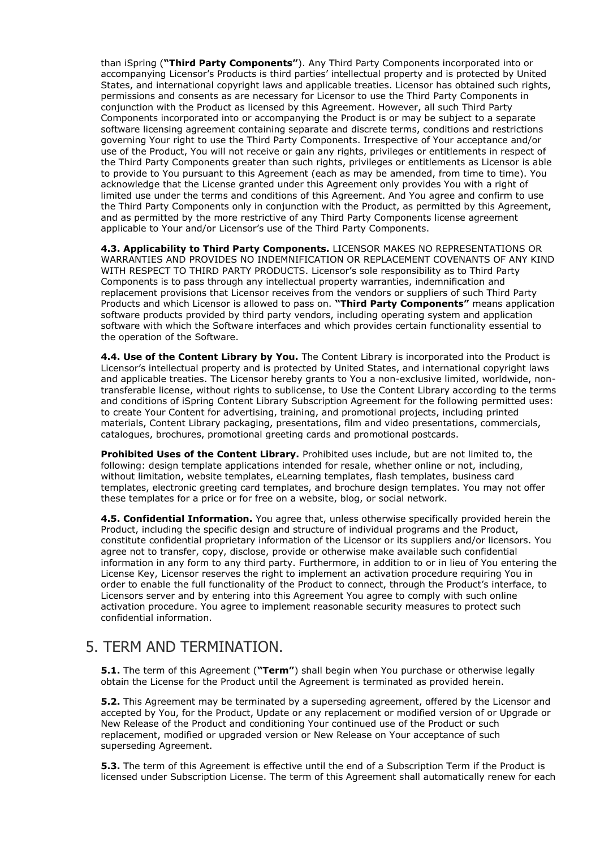than iSpring (**"Third Party Components"**). Any Third Party Components incorporated into or accompanying Licensor's Products is third parties' intellectual property and is protected by United States, and international copyright laws and applicable treaties. Licensor has obtained such rights, permissions and consents as are necessary for Licensor to use the Third Party Components in conjunction with the Product as licensed by this Agreement. However, all such Third Party Components incorporated into or accompanying the Product is or may be subject to a separate software licensing agreement containing separate and discrete terms, conditions and restrictions governing Your right to use the Third Party Components. Irrespective of Your acceptance and/or use of the Product, You will not receive or gain any rights, privileges or entitlements in respect of the Third Party Components greater than such rights, privileges or entitlements as Licensor is able to provide to You pursuant to this Agreement (each as may be amended, from time to time). You acknowledge that the License granted under this Agreement only provides You with a right of limited use under the terms and conditions of this Agreement. And You agree and confirm to use the Third Party Components only in conjunction with the Product, as permitted by this Agreement, and as permitted by the more restrictive of any Third Party Components license agreement applicable to Your and/or Licensor's use of the Third Party Components.

**4.3. Applicability to Third Party Components.** LICENSOR MAKES NO REPRESENTATIONS OR WARRANTIES AND PROVIDES NO INDEMNIFICATION OR REPLACEMENT COVENANTS OF ANY KIND WITH RESPECT TO THIRD PARTY PRODUCTS. Licensor's sole responsibility as to Third Party Components is to pass through any intellectual property warranties, indemnification and replacement provisions that Licensor receives from the vendors or suppliers of such Third Party Products and which Licensor is allowed to pass on. **"Third Party Components"** means application software products provided by third party vendors, including operating system and application software with which the Software interfaces and which provides certain functionality essential to the operation of the Software.

**4.4. Use of the Content Library by You.** The Content Library is incorporated into the Product is Licensor's intellectual property and is protected by United States, and international copyright laws and applicable treaties. The Licensor hereby grants to You a non-exclusive limited, worldwide, nontransferable license, without rights to sublicense, to Use the Content Library according to the terms and conditions of iSpring Content Library Subscription Agreement for the following permitted uses: to create Your Content for advertising, training, and promotional projects, including printed materials, Content Library packaging, presentations, film and video presentations, commercials, catalogues, brochures, promotional greeting cards and promotional postcards.

**Prohibited Uses of the Content Library.** Prohibited uses include, but are not limited to, the following: design template applications intended for resale, whether online or not, including, without limitation, website templates, eLearning templates, flash templates, business card templates, electronic greeting card templates, and brochure design templates. You may not offer these templates for a price or for free on a website, blog, or social network.

**4.5. Confidential Information.** You agree that, unless otherwise specifically provided herein the Product, including the specific design and structure of individual programs and the Product, constitute confidential proprietary information of the Licensor or its suppliers and/or licensors. You agree not to transfer, copy, disclose, provide or otherwise make available such confidential information in any form to any third party. Furthermore, in addition to or in lieu of You entering the License Key, Licensor reserves the right to implement an activation procedure requiring You in order to enable the full functionality of the Product to connect, through the Product's interface, to Licensors server and by entering into this Agreement You agree to comply with such online activation procedure. You agree to implement reasonable security measures to protect such confidential information.

### 5. TERM AND TERMINATION.

**5.1.** The term of this Agreement (**"Term"**) shall begin when You purchase or otherwise legally obtain the License for the Product until the Agreement is terminated as provided herein.

**5.2.** This Agreement may be terminated by a superseding agreement, offered by the Licensor and accepted by You, for the Product, Update or any replacement or modified version of or Upgrade or New Release of the Product and conditioning Your continued use of the Product or such replacement, modified or upgraded version or New Release on Your acceptance of such superseding Agreement.

**5.3.** The term of this Agreement is effective until the end of a Subscription Term if the Product is licensed under Subscription License. The term of this Agreement shall automatically renew for each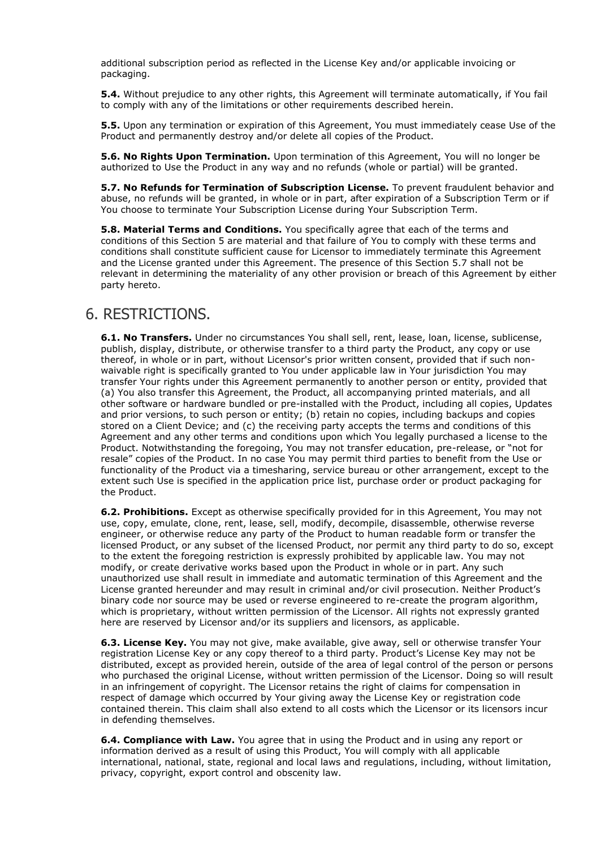additional subscription period as reflected in the License Key and/or applicable invoicing or packaging.

**5.4.** Without prejudice to any other rights, this Agreement will terminate automatically, if You fail to comply with any of the limitations or other requirements described herein.

**5.5.** Upon any termination or expiration of this Agreement, You must immediately cease Use of the Product and permanently destroy and/or delete all copies of the Product.

**5.6. No Rights Upon Termination.** Upon termination of this Agreement, You will no longer be authorized to Use the Product in any way and no refunds (whole or partial) will be granted.

**5.7. No Refunds for Termination of Subscription License.** To prevent fraudulent behavior and abuse, no refunds will be granted, in whole or in part, after expiration of a Subscription Term or if You choose to terminate Your Subscription License during Your Subscription Term.

**5.8. Material Terms and Conditions.** You specifically agree that each of the terms and conditions of this Section 5 are material and that failure of You to comply with these terms and conditions shall constitute sufficient cause for Licensor to immediately terminate this Agreement and the License granted under this Agreement. The presence of this Section 5.7 shall not be relevant in determining the materiality of any other provision or breach of this Agreement by either party hereto.

### 6. RESTRICTIONS.

**6.1. No Transfers.** Under no circumstances You shall sell, rent, lease, loan, license, sublicense, publish, display, distribute, or otherwise transfer to a third party the Product, any copy or use thereof, in whole or in part, without Licensor's prior written consent, provided that if such nonwaivable right is specifically granted to You under applicable law in Your jurisdiction You may transfer Your rights under this Agreement permanently to another person or entity, provided that (a) You also transfer this Agreement, the Product, all accompanying printed materials, and all other software or hardware bundled or pre-installed with the Product, including all copies, Updates and prior versions, to such person or entity; (b) retain no copies, including backups and copies stored on a Client Device; and (c) the receiving party accepts the terms and conditions of this Agreement and any other terms and conditions upon which You legally purchased a license to the Product. Notwithstanding the foregoing, You may not transfer education, pre-release, or "not for resale" copies of the Product. In no case You may permit third parties to benefit from the Use or functionality of the Product via a timesharing, service bureau or other arrangement, except to the extent such Use is specified in the application price list, purchase order or product packaging for the Product.

**6.2. Prohibitions.** Except as otherwise specifically provided for in this Agreement, You may not use, copy, emulate, clone, rent, lease, sell, modify, decompile, disassemble, otherwise reverse engineer, or otherwise reduce any party of the Product to human readable form or transfer the licensed Product, or any subset of the licensed Product, nor permit any third party to do so, except to the extent the foregoing restriction is expressly prohibited by applicable law. You may not modify, or create derivative works based upon the Product in whole or in part. Any such unauthorized use shall result in immediate and automatic termination of this Agreement and the License granted hereunder and may result in criminal and/or civil prosecution. Neither Product's binary code nor source may be used or reverse engineered to re-create the program algorithm, which is proprietary, without written permission of the Licensor. All rights not expressly granted here are reserved by Licensor and/or its suppliers and licensors, as applicable.

**6.3. License Key.** You may not give, make available, give away, sell or otherwise transfer Your registration License Key or any copy thereof to a third party. Product's License Key may not be distributed, except as provided herein, outside of the area of legal control of the person or persons who purchased the original License, without written permission of the Licensor. Doing so will result in an infringement of copyright. The Licensor retains the right of claims for compensation in respect of damage which occurred by Your giving away the License Key or registration code contained therein. This claim shall also extend to all costs which the Licensor or its licensors incur in defending themselves.

**6.4. Compliance with Law.** You agree that in using the Product and in using any report or information derived as a result of using this Product, You will comply with all applicable international, national, state, regional and local laws and regulations, including, without limitation, privacy, copyright, export control and obscenity law.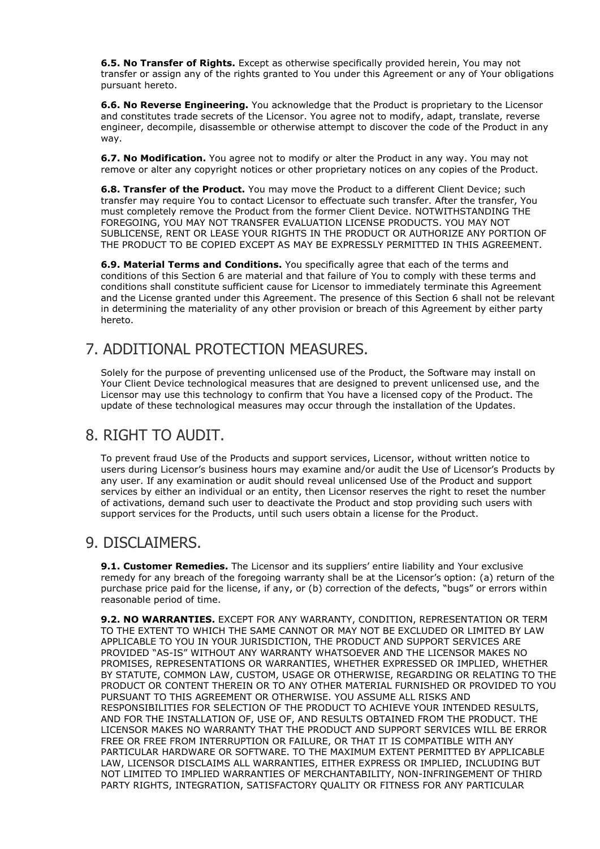**6.5. No Transfer of Rights.** Except as otherwise specifically provided herein, You may not transfer or assign any of the rights granted to You under this Agreement or any of Your obligations pursuant hereto.

**6.6. No Reverse Engineering.** You acknowledge that the Product is proprietary to the Licensor and constitutes trade secrets of the Licensor. You agree not to modify, adapt, translate, reverse engineer, decompile, disassemble or otherwise attempt to discover the code of the Product in any way.

**6.7. No Modification.** You agree not to modify or alter the Product in any way. You may not remove or alter any copyright notices or other proprietary notices on any copies of the Product.

**6.8. Transfer of the Product.** You may move the Product to a different Client Device; such transfer may require You to contact Licensor to effectuate such transfer. After the transfer, You must completely remove the Product from the former Client Device. NOTWITHSTANDING THE FOREGOING, YOU MAY NOT TRANSFER EVALUATION LICENSE PRODUCTS. YOU MAY NOT SUBLICENSE, RENT OR LEASE YOUR RIGHTS IN THE PRODUCT OR AUTHORIZE ANY PORTION OF THE PRODUCT TO BE COPIED EXCEPT AS MAY BE EXPRESSLY PERMITTED IN THIS AGREEMENT.

**6.9. Material Terms and Conditions.** You specifically agree that each of the terms and conditions of this Section 6 are material and that failure of You to comply with these terms and conditions shall constitute sufficient cause for Licensor to immediately terminate this Agreement and the License granted under this Agreement. The presence of this Section 6 shall not be relevant in determining the materiality of any other provision or breach of this Agreement by either party hereto.

## 7. ADDITIONAL PROTECTION MEASURES.

Solely for the purpose of preventing unlicensed use of the Product, the Software may install on Your Client Device technological measures that are designed to prevent unlicensed use, and the Licensor may use this technology to confirm that You have a licensed copy of the Product. The update of these technological measures may occur through the installation of the Updates.

### 8. RIGHT TO AUDIT.

To prevent fraud Use of the Products and support services, Licensor, without written notice to users during Licensor's business hours may examine and/or audit the Use of Licensor's Products by any user. If any examination or audit should reveal unlicensed Use of the Product and support services by either an individual or an entity, then Licensor reserves the right to reset the number of activations, demand such user to deactivate the Product and stop providing such users with support services for the Products, until such users obtain a license for the Product.

### 9. DISCLAIMERS.

**9.1. Customer Remedies.** The Licensor and its suppliers' entire liability and Your exclusive remedy for any breach of the foregoing warranty shall be at the Licensor's option: (a) return of the purchase price paid for the license, if any, or (b) correction of the defects, "bugs" or errors within reasonable period of time.

**9.2. NO WARRANTIES.** EXCEPT FOR ANY WARRANTY, CONDITION, REPRESENTATION OR TERM TO THE EXTENT TO WHICH THE SAME CANNOT OR MAY NOT BE EXCLUDED OR LIMITED BY LAW APPLICABLE TO YOU IN YOUR JURISDICTION, THE PRODUCT AND SUPPORT SERVICES ARE PROVIDED "AS-IS" WITHOUT ANY WARRANTY WHATSOEVER AND THE LICENSOR MAKES NO PROMISES, REPRESENTATIONS OR WARRANTIES, WHETHER EXPRESSED OR IMPLIED, WHETHER BY STATUTE, COMMON LAW, CUSTOM, USAGE OR OTHERWISE, REGARDING OR RELATING TO THE PRODUCT OR CONTENT THEREIN OR TO ANY OTHER MATERIAL FURNISHED OR PROVIDED TO YOU PURSUANT TO THIS AGREEMENT OR OTHERWISE. YOU ASSUME ALL RISKS AND RESPONSIBILITIES FOR SELECTION OF THE PRODUCT TO ACHIEVE YOUR INTENDED RESULTS, AND FOR THE INSTALLATION OF, USE OF, AND RESULTS OBTAINED FROM THE PRODUCT. THE LICENSOR MAKES NO WARRANTY THAT THE PRODUCT AND SUPPORT SERVICES WILL BE ERROR FREE OR FREE FROM INTERRUPTION OR FAILURE, OR THAT IT IS COMPATIBLE WITH ANY PARTICULAR HARDWARE OR SOFTWARE. TO THE MAXIMUM EXTENT PERMITTED BY APPLICABLE LAW, LICENSOR DISCLAIMS ALL WARRANTIES, EITHER EXPRESS OR IMPLIED, INCLUDING BUT NOT LIMITED TO IMPLIED WARRANTIES OF MERCHANTABILITY, NON-INFRINGEMENT OF THIRD PARTY RIGHTS, INTEGRATION, SATISFACTORY QUALITY OR FITNESS FOR ANY PARTICULAR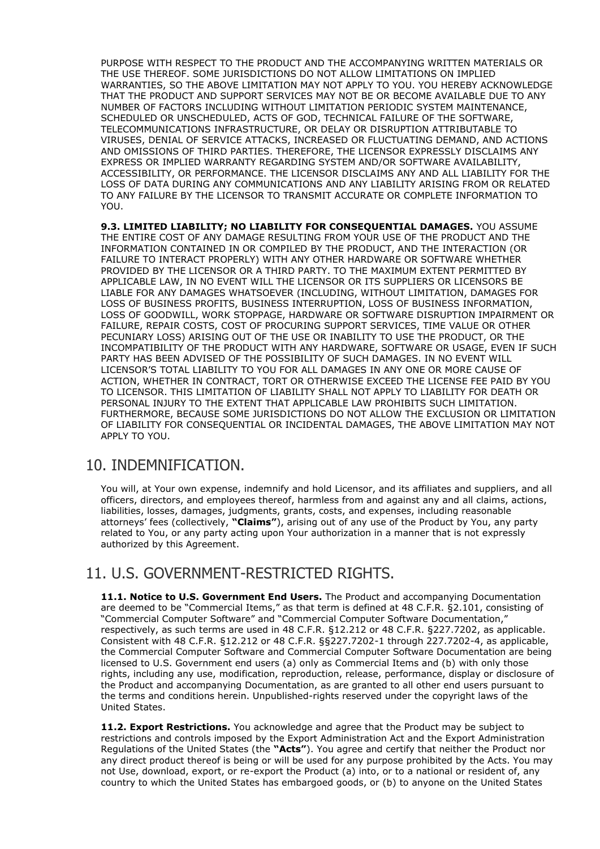PURPOSE WITH RESPECT TO THE PRODUCT AND THE ACCOMPANYING WRITTEN MATERIALS OR THE USE THEREOF. SOME JURISDICTIONS DO NOT ALLOW LIMITATIONS ON IMPLIED WARRANTIES, SO THE ABOVE LIMITATION MAY NOT APPLY TO YOU. YOU HEREBY ACKNOWLEDGE THAT THE PRODUCT AND SUPPORT SERVICES MAY NOT BE OR BECOME AVAILABLE DUE TO ANY NUMBER OF FACTORS INCLUDING WITHOUT LIMITATION PERIODIC SYSTEM MAINTENANCE, SCHEDULED OR UNSCHEDULED, ACTS OF GOD, TECHNICAL FAILURE OF THE SOFTWARE, TELECOMMUNICATIONS INFRASTRUCTURE, OR DELAY OR DISRUPTION ATTRIBUTABLE TO VIRUSES, DENIAL OF SERVICE ATTACKS, INCREASED OR FLUCTUATING DEMAND, AND ACTIONS AND OMISSIONS OF THIRD PARTIES. THEREFORE, THE LICENSOR EXPRESSLY DISCLAIMS ANY EXPRESS OR IMPLIED WARRANTY REGARDING SYSTEM AND/OR SOFTWARE AVAILABILITY, ACCESSIBILITY, OR PERFORMANCE. THE LICENSOR DISCLAIMS ANY AND ALL LIABILITY FOR THE LOSS OF DATA DURING ANY COMMUNICATIONS AND ANY LIABILITY ARISING FROM OR RELATED TO ANY FAILURE BY THE LICENSOR TO TRANSMIT ACCURATE OR COMPLETE INFORMATION TO YOU.

**9.3. LIMITED LIABILITY; NO LIABILITY FOR CONSEQUENTIAL DAMAGES.** YOU ASSUME THE ENTIRE COST OF ANY DAMAGE RESULTING FROM YOUR USE OF THE PRODUCT AND THE INFORMATION CONTAINED IN OR COMPILED BY THE PRODUCT, AND THE INTERACTION (OR FAILURE TO INTERACT PROPERLY) WITH ANY OTHER HARDWARE OR SOFTWARE WHETHER PROVIDED BY THE LICENSOR OR A THIRD PARTY. TO THE MAXIMUM EXTENT PERMITTED BY APPLICABLE LAW, IN NO EVENT WILL THE LICENSOR OR ITS SUPPLIERS OR LICENSORS BE LIABLE FOR ANY DAMAGES WHATSOEVER (INCLUDING, WITHOUT LIMITATION, DAMAGES FOR LOSS OF BUSINESS PROFITS, BUSINESS INTERRUPTION, LOSS OF BUSINESS INFORMATION, LOSS OF GOODWILL, WORK STOPPAGE, HARDWARE OR SOFTWARE DISRUPTION IMPAIRMENT OR FAILURE, REPAIR COSTS, COST OF PROCURING SUPPORT SERVICES, TIME VALUE OR OTHER PECUNIARY LOSS) ARISING OUT OF THE USE OR INABILITY TO USE THE PRODUCT, OR THE INCOMPATIBILITY OF THE PRODUCT WITH ANY HARDWARE, SOFTWARE OR USAGE, EVEN IF SUCH PARTY HAS BEEN ADVISED OF THE POSSIBILITY OF SUCH DAMAGES. IN NO EVENT WILL LICENSOR'S TOTAL LIABILITY TO YOU FOR ALL DAMAGES IN ANY ONE OR MORE CAUSE OF ACTION, WHETHER IN CONTRACT, TORT OR OTHERWISE EXCEED THE LICENSE FEE PAID BY YOU TO LICENSOR. THIS LIMITATION OF LIABILITY SHALL NOT APPLY TO LIABILITY FOR DEATH OR PERSONAL INJURY TO THE EXTENT THAT APPLICABLE LAW PROHIBITS SUCH LIMITATION. FURTHERMORE, BECAUSE SOME JURISDICTIONS DO NOT ALLOW THE EXCLUSION OR LIMITATION OF LIABILITY FOR CONSEQUENTIAL OR INCIDENTAL DAMAGES, THE ABOVE LIMITATION MAY NOT APPLY TO YOU.

### 10. INDEMNIFICATION.

You will, at Your own expense, indemnify and hold Licensor, and its affiliates and suppliers, and all officers, directors, and employees thereof, harmless from and against any and all claims, actions, liabilities, losses, damages, judgments, grants, costs, and expenses, including reasonable attorneys' fees (collectively, **"Claims"**), arising out of any use of the Product by You, any party related to You, or any party acting upon Your authorization in a manner that is not expressly authorized by this Agreement.

### 11. U.S. GOVERNMENT-RESTRICTED RIGHTS.

**11.1. Notice to U.S. Government End Users.** The Product and accompanying Documentation are deemed to be "Commercial Items," as that term is defined at 48 C.F.R. §2.101, consisting of "Commercial Computer Software" and "Commercial Computer Software Documentation," respectively, as such terms are used in 48 C.F.R. §12.212 or 48 C.F.R. §227.7202, as applicable. Consistent with 48 C.F.R. §12.212 or 48 C.F.R. §§227.7202-1 through 227.7202-4, as applicable, the Commercial Computer Software and Commercial Computer Software Documentation are being licensed to U.S. Government end users (a) only as Commercial Items and (b) with only those rights, including any use, modification, reproduction, release, performance, display or disclosure of the Product and accompanying Documentation, as are granted to all other end users pursuant to the terms and conditions herein. Unpublished-rights reserved under the copyright laws of the United States.

**11.2. Export Restrictions.** You acknowledge and agree that the Product may be subject to restrictions and controls imposed by the Export Administration Act and the Export Administration Regulations of the United States (the **"Acts"**). You agree and certify that neither the Product nor any direct product thereof is being or will be used for any purpose prohibited by the Acts. You may not Use, download, export, or re-export the Product (a) into, or to a national or resident of, any country to which the United States has embargoed goods, or (b) to anyone on the United States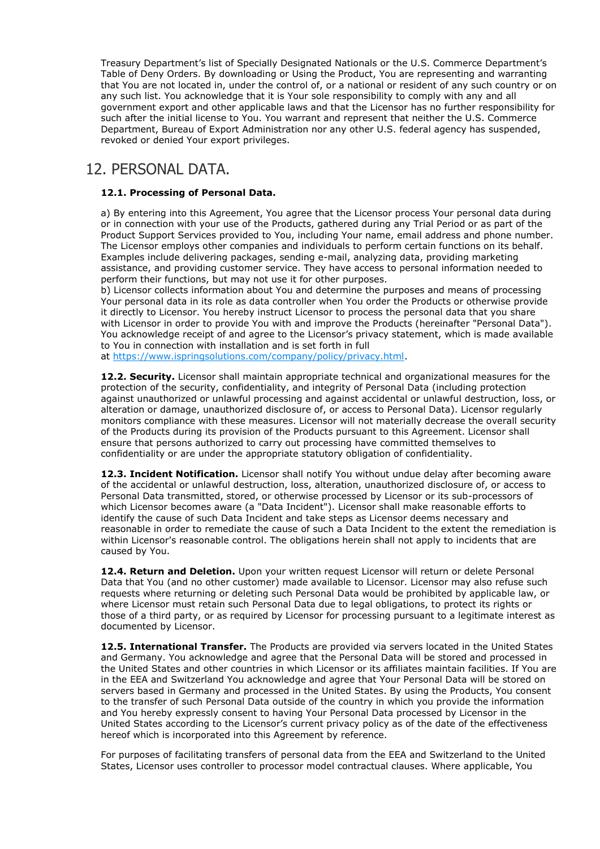Treasury Department's list of Specially Designated Nationals or the U.S. Commerce Department's Table of Deny Orders. By downloading or Using the Product, You are representing and warranting that You are not located in, under the control of, or a national or resident of any such country or on any such list. You acknowledge that it is Your sole responsibility to comply with any and all government export and other applicable laws and that the Licensor has no further responsibility for such after the initial license to You. You warrant and represent that neither the U.S. Commerce Department, Bureau of Export Administration nor any other U.S. federal agency has suspended, revoked or denied Your export privileges.

### 12. PERSONAL DATA.

### **12.1. Processing of Personal Data.**

a) By entering into this Agreement, You agree that the Licensor process Your personal data during or in connection with your use of the Products, gathered during any Trial Period or as part of the Product Support Services provided to You, including Your name, email address and phone number. The Licensor employs other companies and individuals to perform certain functions on its behalf. Examples include delivering packages, sending e-mail, analyzing data, providing marketing assistance, and providing customer service. They have access to personal information needed to perform their functions, but may not use it for other purposes.

b) Licensor collects information about You and determine the purposes and means of processing Your personal data in its role as data controller when You order the Products or otherwise provide it directly to Licensor. You hereby instruct Licensor to process the personal data that you share with Licensor in order to provide You with and improve the Products (hereinafter "Personal Data"). You acknowledge receipt of and agree to the Licensor's privacy statement, which is made available to You in connection with installation and is set forth in full

at [https://www.ispringsolutions.com/company/policy/privacy.html.](https://www.ispringsolutions.com/company/policy/privacy.html)

**12.2. Security.** Licensor shall maintain appropriate technical and organizational measures for the protection of the security, confidentiality, and integrity of Personal Data (including protection against unauthorized or unlawful processing and against accidental or unlawful destruction, loss, or alteration or damage, unauthorized disclosure of, or access to Personal Data). Licensor regularly monitors compliance with these measures. Licensor will not materially decrease the overall security of the Products during its provision of the Products pursuant to this Agreement. Licensor shall ensure that persons authorized to carry out processing have committed themselves to confidentiality or are under the appropriate statutory obligation of confidentiality.

**12.3. Incident Notification.** Licensor shall notify You without undue delay after becoming aware of the accidental or unlawful destruction, loss, alteration, unauthorized disclosure of, or access to Personal Data transmitted, stored, or otherwise processed by Licensor or its sub-processors of which Licensor becomes aware (a "Data Incident"). Licensor shall make reasonable efforts to identify the cause of such Data Incident and take steps as Licensor deems necessary and reasonable in order to remediate the cause of such a Data Incident to the extent the remediation is within Licensor's reasonable control. The obligations herein shall not apply to incidents that are caused by You.

**12.4. Return and Deletion.** Upon your written request Licensor will return or delete Personal Data that You (and no other customer) made available to Licensor. Licensor may also refuse such requests where returning or deleting such Personal Data would be prohibited by applicable law, or where Licensor must retain such Personal Data due to legal obligations, to protect its rights or those of a third party, or as required by Licensor for processing pursuant to a legitimate interest as documented by Licensor.

**12.5. International Transfer.** The Products are provided via servers located in the United States and Germany. You acknowledge and agree that the Personal Data will be stored and processed in the United States and other countries in which Licensor or its affiliates maintain facilities. If You are in the EEA and Switzerland You acknowledge and agree that Your Personal Data will be stored on servers based in Germany and processed in the United States. By using the Products, You consent to the transfer of such Personal Data outside of the country in which you provide the information and You hereby expressly consent to having Your Personal Data processed by Licensor in the United States according to the Licensor's current privacy policy as of the date of the effectiveness hereof which is incorporated into this Agreement by reference.

For purposes of facilitating transfers of personal data from the EEA and Switzerland to the United States, Licensor uses controller to processor model contractual clauses. Where applicable, You